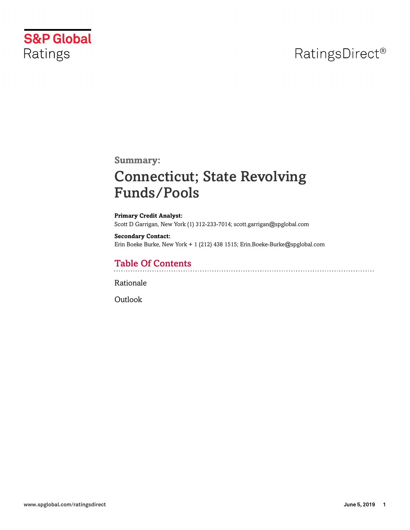# RatingsDirect<sup>®</sup>



**Summary:**

# Connecticut; State Revolving Funds/Pools

**Primary Credit Analyst:** Scott D Garrigan, New York (1) 312-233-7014; scott.garrigan@spglobal.com

#### **Secondary Contact:**

Erin Boeke Burke, New York + 1 (212) 438 1515; Erin.Boeke-Burke@spglobal.com

## Table Of Contents

[Rationale](#page-1-0)

[Outlook](#page-2-0)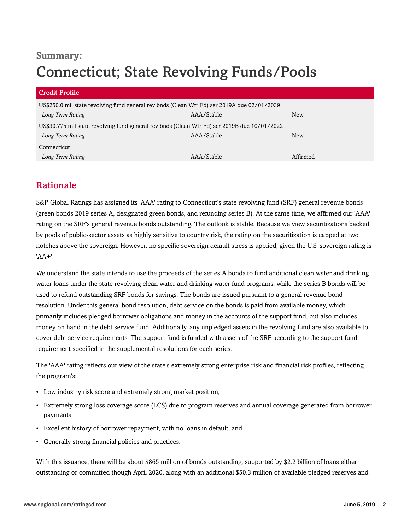## **Summary:** Connecticut; State Revolving Funds/Pools

| <b>Credit Profile</b>                                                                        |            |            |  |
|----------------------------------------------------------------------------------------------|------------|------------|--|
| US\$250.0 mil state revolving fund general rev bnds (Clean Wtr Fd) ser 2019A due 02/01/2039  |            |            |  |
| Long Term Rating                                                                             | AAA/Stable | <b>New</b> |  |
| US\$30.775 mil state revolving fund general rev bnds (Clean Wtr Fd) ser 2019B due 10/01/2022 |            |            |  |
| Long Term Rating                                                                             | AAA/Stable | New        |  |
| Connecticut                                                                                  |            |            |  |
| Long Term Rating                                                                             | AAA/Stable | Affirmed   |  |

## <span id="page-1-0"></span>Rationale

S&P Global Ratings has assigned its 'AAA' rating to Connecticut's state revolving fund (SRF) general revenue bonds (green bonds 2019 series A, designated green bonds, and refunding series B). At the same time, we affirmed our 'AAA' rating on the SRF's general revenue bonds outstanding. The outlook is stable. Because we view securitizations backed by pools of public-sector assets as highly sensitive to country risk, the rating on the securitization is capped at two notches above the sovereign. However, no specific sovereign default stress is applied, given the U.S. sovereign rating is 'AA+'.

We understand the state intends to use the proceeds of the series A bonds to fund additional clean water and drinking water loans under the state revolving clean water and drinking water fund programs, while the series B bonds will be used to refund outstanding SRF bonds for savings. The bonds are issued pursuant to a general revenue bond resolution. Under this general bond resolution, debt service on the bonds is paid from available money, which primarily includes pledged borrower obligations and money in the accounts of the support fund, but also includes money on hand in the debt service fund. Additionally, any unpledged assets in the revolving fund are also available to cover debt service requirements. The support fund is funded with assets of the SRF according to the support fund requirement specified in the supplemental resolutions for each series.

The 'AAA' rating reflects our view of the state's extremely strong enterprise risk and financial risk profiles, reflecting the program's:

- Low industry risk score and extremely strong market position;
- Extremely strong loss coverage score (LCS) due to program reserves and annual coverage generated from borrower payments;
- Excellent history of borrower repayment, with no loans in default; and
- Generally strong financial policies and practices.

With this issuance, there will be about \$865 million of bonds outstanding, supported by \$2.2 billion of loans either outstanding or committed though April 2020, along with an additional \$50.3 million of available pledged reserves and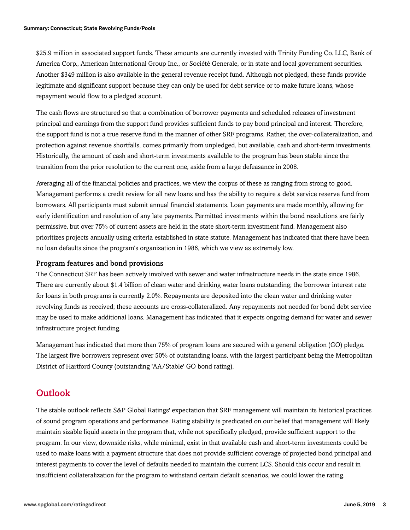\$25.9 million in associated support funds. These amounts are currently invested with Trinity Funding Co. LLC, Bank of America Corp., American International Group Inc., or Société Generale, or in state and local government securities. Another \$349 million is also available in the general revenue receipt fund. Although not pledged, these funds provide legitimate and significant support because they can only be used for debt service or to make future loans, whose repayment would flow to a pledged account.

The cash flows are structured so that a combination of borrower payments and scheduled releases of investment principal and earnings from the support fund provides sufficient funds to pay bond principal and interest. Therefore, the support fund is not a true reserve fund in the manner of other SRF programs. Rather, the over-collateralization, and protection against revenue shortfalls, comes primarily from unpledged, but available, cash and short-term investments. Historically, the amount of cash and short-term investments available to the program has been stable since the transition from the prior resolution to the current one, aside from a large defeasance in 2008.

Averaging all of the financial policies and practices, we view the corpus of these as ranging from strong to good. Management performs a credit review for all new loans and has the ability to require a debt service reserve fund from borrowers. All participants must submit annual financial statements. Loan payments are made monthly, allowing for early identification and resolution of any late payments. Permitted investments within the bond resolutions are fairly permissive, but over 75% of current assets are held in the state short-term investment fund. Management also prioritizes projects annually using criteria established in state statute. Management has indicated that there have been no loan defaults since the program's organization in 1986, which we view as extremely low.

### Program features and bond provisions

The Connecticut SRF has been actively involved with sewer and water infrastructure needs in the state since 1986. There are currently about \$1.4 billion of clean water and drinking water loans outstanding; the borrower interest rate for loans in both programs is currently 2.0%. Repayments are deposited into the clean water and drinking water revolving funds as received; these accounts are cross-collateralized. Any repayments not needed for bond debt service may be used to make additional loans. Management has indicated that it expects ongoing demand for water and sewer infrastructure project funding.

Management has indicated that more than 75% of program loans are secured with a general obligation (GO) pledge. The largest five borrowers represent over 50% of outstanding loans, with the largest participant being the Metropolitan District of Hartford County (outstanding 'AA/Stable' GO bond rating).

### <span id="page-2-0"></span>**Outlook**

The stable outlook reflects S&P Global Ratings' expectation that SRF management will maintain its historical practices of sound program operations and performance. Rating stability is predicated on our belief that management will likely maintain sizable liquid assets in the program that, while not specifically pledged, provide sufficient support to the program. In our view, downside risks, while minimal, exist in that available cash and short-term investments could be used to make loans with a payment structure that does not provide sufficient coverage of projected bond principal and interest payments to cover the level of defaults needed to maintain the current LCS. Should this occur and result in insufficient collateralization for the program to withstand certain default scenarios, we could lower the rating.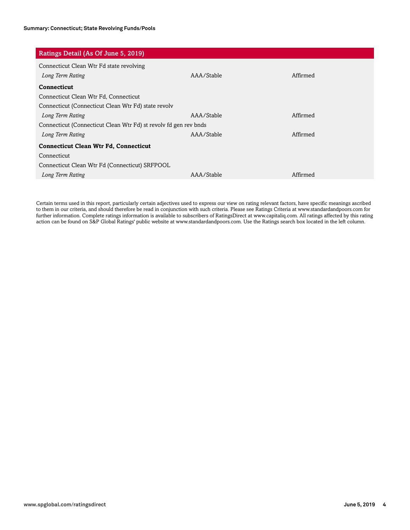| Ratings Detail (As Of June 5, 2019)                              |            |          |  |
|------------------------------------------------------------------|------------|----------|--|
| Connecticut Clean Wtr Fd state revolving                         |            |          |  |
| Long Term Rating                                                 | AAA/Stable | Affirmed |  |
| Connecticut                                                      |            |          |  |
| Connecticut Clean Wtr Fd, Connecticut                            |            |          |  |
| Connecticut (Connecticut Clean Wtr Fd) state revolv              |            |          |  |
| Long Term Rating                                                 | AAA/Stable | Affirmed |  |
| Connecticut (Connecticut Clean Wtr Fd) st revolv fd gen rev bnds |            |          |  |
| Long Term Rating                                                 | AAA/Stable | Affirmed |  |
| <b>Connecticut Clean Wtr Fd, Connecticut</b>                     |            |          |  |
| Connecticut                                                      |            |          |  |
| Connecticut Clean Wtr Fd (Connecticut) SRFPOOL                   |            |          |  |
| Long Term Rating                                                 | AAA/Stable | Affirmed |  |

Certain terms used in this report, particularly certain adjectives used to express our view on rating relevant factors, have specific meanings ascribed to them in our criteria, and should therefore be read in conjunction with such criteria. Please see Ratings Criteria at www.standardandpoors.com for further information. Complete ratings information is available to subscribers of RatingsDirect at www.capitaliq.com. All ratings affected by this rating action can be found on S&P Global Ratings' public website at www.standardandpoors.com. Use the Ratings search box located in the left column.